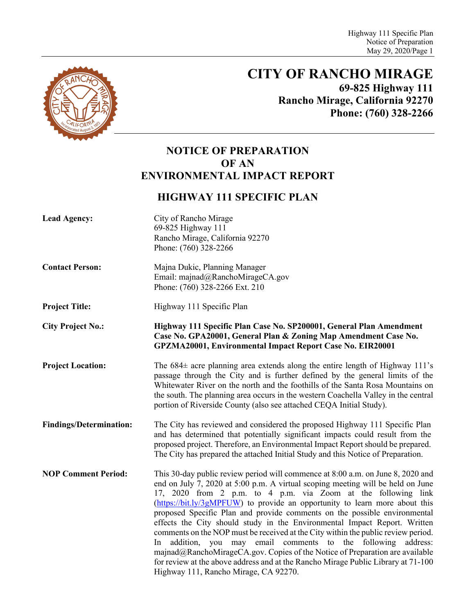

# **CITY OF RANCHO MIRAGE 69-825 Highway 111 Rancho Mirage, California 92270 Phone: (760) 328-2266**

# **NOTICE OF PREPARATION OF AN ENVIRONMENTAL IMPACT REPORT**

# **HIGHWAY 111 SPECIFIC PLAN**

| <b>Lead Agency:</b>            | City of Rancho Mirage<br>69-825 Highway 111<br>Rancho Mirage, California 92270<br>Phone: (760) 328-2266                                                                                                                                                                                                                                                                                                                                                                                                                                                                                                                                                                                                                                                                                                                                             |
|--------------------------------|-----------------------------------------------------------------------------------------------------------------------------------------------------------------------------------------------------------------------------------------------------------------------------------------------------------------------------------------------------------------------------------------------------------------------------------------------------------------------------------------------------------------------------------------------------------------------------------------------------------------------------------------------------------------------------------------------------------------------------------------------------------------------------------------------------------------------------------------------------|
| <b>Contact Person:</b>         | Majna Dukic, Planning Manager<br>Email: majnad@RanchoMirageCA.gov<br>Phone: (760) 328-2266 Ext. 210                                                                                                                                                                                                                                                                                                                                                                                                                                                                                                                                                                                                                                                                                                                                                 |
| <b>Project Title:</b>          | Highway 111 Specific Plan                                                                                                                                                                                                                                                                                                                                                                                                                                                                                                                                                                                                                                                                                                                                                                                                                           |
| <b>City Project No.:</b>       | Highway 111 Specific Plan Case No. SP200001, General Plan Amendment<br>Case No. GPA20001, General Plan & Zoning Map Amendment Case No.<br><b>GPZMA20001, Environmental Impact Report Case No. EIR20001</b>                                                                                                                                                                                                                                                                                                                                                                                                                                                                                                                                                                                                                                          |
| <b>Project Location:</b>       | The $684\pm$ acre planning area extends along the entire length of Highway 111's<br>passage through the City and is further defined by the general limits of the<br>Whitewater River on the north and the foothills of the Santa Rosa Mountains on<br>the south. The planning area occurs in the western Coachella Valley in the central<br>portion of Riverside County (also see attached CEQA Initial Study).                                                                                                                                                                                                                                                                                                                                                                                                                                     |
| <b>Findings/Determination:</b> | The City has reviewed and considered the proposed Highway 111 Specific Plan<br>and has determined that potentially significant impacts could result from the<br>proposed project. Therefore, an Environmental Impact Report should be prepared.<br>The City has prepared the attached Initial Study and this Notice of Preparation.                                                                                                                                                                                                                                                                                                                                                                                                                                                                                                                 |
| <b>NOP Comment Period:</b>     | This 30-day public review period will commence at 8:00 a.m. on June 8, 2020 and<br>end on July 7, 2020 at 5:00 p.m. A virtual scoping meeting will be held on June<br>17, 2020 from 2 p.m. to 4 p.m. via Zoom at the following link<br>(https://bit.ly/3gMPFUW) to provide an opportunity to learn more about this<br>proposed Specific Plan and provide comments on the possible environmental<br>effects the City should study in the Environmental Impact Report. Written<br>comments on the NOP must be received at the City within the public review period.<br>In addition, you may email comments to the following<br>address:<br>majnad@RanchoMirageCA.gov. Copies of the Notice of Preparation are available<br>for review at the above address and at the Rancho Mirage Public Library at 71-100<br>Highway 111, Rancho Mirage, CA 92270. |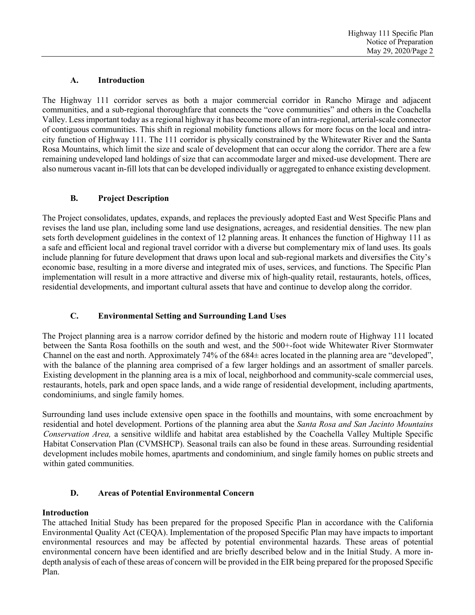### **A. Introduction**

The Highway 111 corridor serves as both a major commercial corridor in Rancho Mirage and adjacent communities, and a sub-regional thoroughfare that connects the "cove communities" and others in the Coachella Valley. Less important today as a regional highway it has become more of an intra-regional, arterial-scale connector of contiguous communities. This shift in regional mobility functions allows for more focus on the local and intracity function of Highway 111. The 111 corridor is physically constrained by the Whitewater River and the Santa Rosa Mountains, which limit the size and scale of development that can occur along the corridor. There are a few remaining undeveloped land holdings of size that can accommodate larger and mixed-use development. There are also numerous vacant in-fill lots that can be developed individually or aggregated to enhance existing development.

# **B. Project Description**

The Project consolidates, updates, expands, and replaces the previously adopted East and West Specific Plans and revises the land use plan, including some land use designations, acreages, and residential densities. The new plan sets forth development guidelines in the context of 12 planning areas. It enhances the function of Highway 111 as a safe and efficient local and regional travel corridor with a diverse but complementary mix of land uses. Its goals include planning for future development that draws upon local and sub-regional markets and diversifies the City's economic base, resulting in a more diverse and integrated mix of uses, services, and functions. The Specific Plan implementation will result in a more attractive and diverse mix of high-quality retail, restaurants, hotels, offices, residential developments, and important cultural assets that have and continue to develop along the corridor.

# **C. Environmental Setting and Surrounding Land Uses**

The Project planning area is a narrow corridor defined by the historic and modern route of Highway 111 located between the Santa Rosa foothills on the south and west, and the 500+-foot wide Whitewater River Stormwater Channel on the east and north. Approximately 74% of the 684± acres located in the planning area are "developed", with the balance of the planning area comprised of a few larger holdings and an assortment of smaller parcels. Existing development in the planning area is a mix of local, neighborhood and community-scale commercial uses, restaurants, hotels, park and open space lands, and a wide range of residential development, including apartments, condominiums, and single family homes.

Surrounding land uses include extensive open space in the foothills and mountains, with some encroachment by residential and hotel development. Portions of the planning area abut the *Santa Rosa and San Jacinto Mountains Conservation Area,* a sensitive wildlife and habitat area established by the Coachella Valley Multiple Specific Habitat Conservation Plan (CVMSHCP). Seasonal trails can also be found in these areas. Surrounding residential development includes mobile homes, apartments and condominium, and single family homes on public streets and within gated communities.

# **D. Areas of Potential Environmental Concern**

# **Introduction**

The attached Initial Study has been prepared for the proposed Specific Plan in accordance with the California Environmental Quality Act (CEQA). Implementation of the proposed Specific Plan may have impacts to important environmental resources and may be affected by potential environmental hazards. These areas of potential environmental concern have been identified and are briefly described below and in the Initial Study. A more indepth analysis of each of these areas of concern will be provided in the EIR being prepared for the proposed Specific Plan.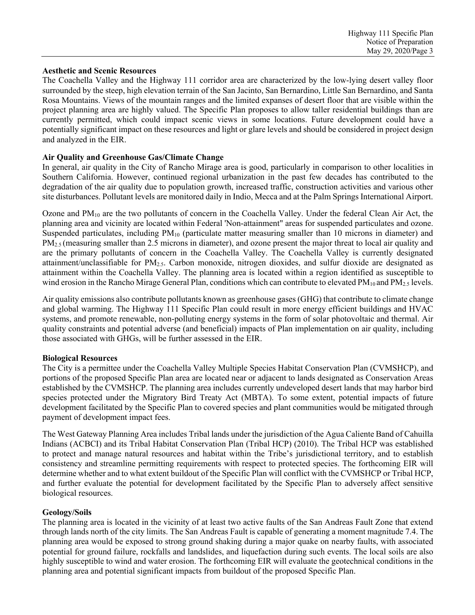#### **Aesthetic and Scenic Resources**

The Coachella Valley and the Highway 111 corridor area are characterized by the low-lying desert valley floor surrounded by the steep, high elevation terrain of the San Jacinto, San Bernardino, Little San Bernardino, and Santa Rosa Mountains. Views of the mountain ranges and the limited expanses of desert floor that are visible within the project planning area are highly valued. The Specific Plan proposes to allow taller residential buildings than are currently permitted, which could impact scenic views in some locations. Future development could have a potentially significant impact on these resources and light or glare levels and should be considered in project design and analyzed in the EIR.

#### **Air Quality and Greenhouse Gas/Climate Change**

In general, air quality in the City of Rancho Mirage area is good, particularly in comparison to other localities in Southern California. However, continued regional urbanization in the past few decades has contributed to the degradation of the air quality due to population growth, increased traffic, construction activities and various other site disturbances. Pollutant levels are monitored daily in Indio, Mecca and at the Palm Springs International Airport.

Ozone and PM10 are the two pollutants of concern in the Coachella Valley. Under the federal Clean Air Act, the planning area and vicinity are located within Federal 'Non-attainment" areas for suspended particulates and ozone. Suspended particulates, including  $PM_{10}$  (particulate matter measuring smaller than 10 microns in diameter) and PM<sub>2.5</sub> (measuring smaller than 2.5 microns in diameter), and ozone present the major threat to local air quality and are the primary pollutants of concern in the Coachella Valley. The Coachella Valley is currently designated attainment/unclassifiable for  $PM_2$ . Carbon monoxide, nitrogen dioxides, and sulfur dioxide are designated as attainment within the Coachella Valley. The planning area is located within a region identified as susceptible to wind erosion in the Rancho Mirage General Plan, conditions which can contribute to elevated  $PM_{10}$  and  $PM_{2.5}$  levels.

Air quality emissions also contribute pollutants known as greenhouse gases (GHG) that contribute to climate change and global warming. The Highway 111 Specific Plan could result in more energy efficient buildings and HVAC systems, and promote renewable, non-polluting energy systems in the form of solar photovoltaic and thermal. Air quality constraints and potential adverse (and beneficial) impacts of Plan implementation on air quality, including those associated with GHGs, will be further assessed in the EIR.

#### **Biological Resources**

The City is a permittee under the Coachella Valley Multiple Species Habitat Conservation Plan (CVMSHCP), and portions of the proposed Specific Plan area are located near or adjacent to lands designated as Conservation Areas established by the CVMSHCP. The planning area includes currently undeveloped desert lands that may harbor bird species protected under the Migratory Bird Treaty Act (MBTA). To some extent, potential impacts of future development facilitated by the Specific Plan to covered species and plant communities would be mitigated through payment of development impact fees.

The West Gateway Planning Area includes Tribal lands under the jurisdiction of the Agua Caliente Band of Cahuilla Indians (ACBCI) and its Tribal Habitat Conservation Plan (Tribal HCP) (2010). The Tribal HCP was established to protect and manage natural resources and habitat within the Tribe's jurisdictional territory, and to establish consistency and streamline permitting requirements with respect to protected species. The forthcoming EIR will determine whether and to what extent buildout of the Specific Plan will conflict with the CVMSHCP or Tribal HCP, and further evaluate the potential for development facilitated by the Specific Plan to adversely affect sensitive biological resources.

#### **Geology/Soils**

The planning area is located in the vicinity of at least two active faults of the San Andreas Fault Zone that extend through lands north of the city limits. The San Andreas Fault is capable of generating a moment magnitude 7.4. The planning area would be exposed to strong ground shaking during a major quake on nearby faults, with associated potential for ground failure, rockfalls and landslides, and liquefaction during such events. The local soils are also highly susceptible to wind and water erosion. The forthcoming EIR will evaluate the geotechnical conditions in the planning area and potential significant impacts from buildout of the proposed Specific Plan.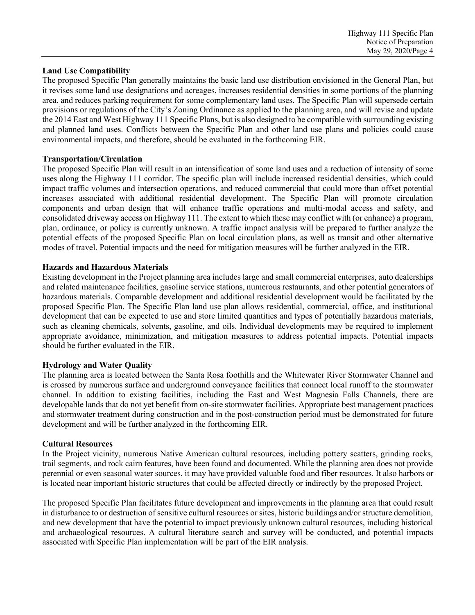### **Land Use Compatibility**

The proposed Specific Plan generally maintains the basic land use distribution envisioned in the General Plan, but it revises some land use designations and acreages, increases residential densities in some portions of the planning area, and reduces parking requirement for some complementary land uses. The Specific Plan will supersede certain provisions or regulations of the City's Zoning Ordinance as applied to the planning area, and will revise and update the 2014 East and West Highway 111 Specific Plans, but is also designed to be compatible with surrounding existing and planned land uses. Conflicts between the Specific Plan and other land use plans and policies could cause environmental impacts, and therefore, should be evaluated in the forthcoming EIR.

#### **Transportation/Circulation**

The proposed Specific Plan will result in an intensification of some land uses and a reduction of intensity of some uses along the Highway 111 corridor. The specific plan will include increased residential densities, which could impact traffic volumes and intersection operations, and reduced commercial that could more than offset potential increases associated with additional residential development. The Specific Plan will promote circulation components and urban design that will enhance traffic operations and multi-modal access and safety, and consolidated driveway access on Highway 111. The extent to which these may conflict with (or enhance) a program, plan, ordinance, or policy is currently unknown. A traffic impact analysis will be prepared to further analyze the potential effects of the proposed Specific Plan on local circulation plans, as well as transit and other alternative modes of travel. Potential impacts and the need for mitigation measures will be further analyzed in the EIR.

### **Hazards and Hazardous Materials**

Existing development in the Project planning area includes large and small commercial enterprises, auto dealerships and related maintenance facilities, gasoline service stations, numerous restaurants, and other potential generators of hazardous materials. Comparable development and additional residential development would be facilitated by the proposed Specific Plan. The Specific Plan land use plan allows residential, commercial, office, and institutional development that can be expected to use and store limited quantities and types of potentially hazardous materials, such as cleaning chemicals, solvents, gasoline, and oils. Individual developments may be required to implement appropriate avoidance, minimization, and mitigation measures to address potential impacts. Potential impacts should be further evaluated in the EIR.

# **Hydrology and Water Quality**

The planning area is located between the Santa Rosa foothills and the Whitewater River Stormwater Channel and is crossed by numerous surface and underground conveyance facilities that connect local runoff to the stormwater channel. In addition to existing facilities, including the East and West Magnesia Falls Channels, there are developable lands that do not yet benefit from on-site stormwater facilities. Appropriate best management practices and stormwater treatment during construction and in the post-construction period must be demonstrated for future development and will be further analyzed in the forthcoming EIR.

#### **Cultural Resources**

In the Project vicinity, numerous Native American cultural resources, including pottery scatters, grinding rocks, trail segments, and rock cairn features, have been found and documented. While the planning area does not provide perennial or even seasonal water sources, it may have provided valuable food and fiber resources. It also harbors or is located near important historic structures that could be affected directly or indirectly by the proposed Project.

The proposed Specific Plan facilitates future development and improvements in the planning area that could result in disturbance to or destruction of sensitive cultural resources or sites, historic buildings and/or structure demolition, and new development that have the potential to impact previously unknown cultural resources, including historical and archaeological resources. A cultural literature search and survey will be conducted, and potential impacts associated with Specific Plan implementation will be part of the EIR analysis.